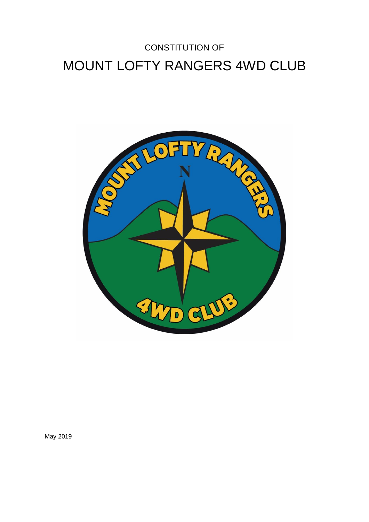# CONSTITUTION OF MOUNT LOFTY RANGERS 4WD CLUB



May 2019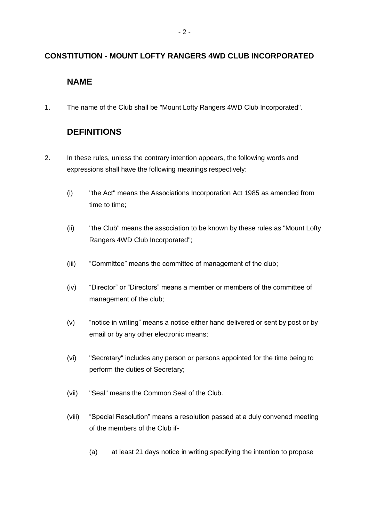#### **CONSTITUTION - MOUNT LOFTY RANGERS 4WD CLUB INCORPORATED**

## **NAME**

1. The name of the Club shall be "Mount Lofty Rangers 4WD Club Incorporated".

## **DEFINITIONS**

- 2. In these rules, unless the contrary intention appears, the following words and expressions shall have the following meanings respectively:
	- (i) "the Act" means the Associations Incorporation Act 1985 as amended from time to time;
	- (ii) "the Club" means the association to be known by these rules as "Mount Lofty Rangers 4WD Club Incorporated";
	- (iii) "Committee" means the committee of management of the club;
	- (iv) "Director" or "Directors" means a member or members of the committee of management of the club;
	- (v) "notice in writing" means a notice either hand delivered or sent by post or by email or by any other electronic means;
	- (vi) "Secretary" includes any person or persons appointed for the time being to perform the duties of Secretary;
	- (vii) "Seal" means the Common Seal of the Club.
	- (viii) "Special Resolution" means a resolution passed at a duly convened meeting of the members of the Club if-
		- (a) at least 21 days notice in writing specifying the intention to propose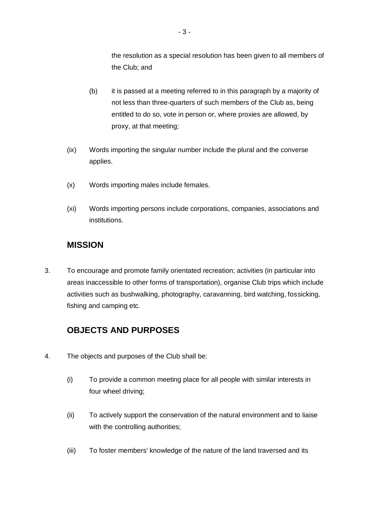the resolution as a special resolution has been given to all members of the Club; and

- (b) it is passed at a meeting referred to in this paragraph by a majority of not less than three-quarters of such members of the Club as, being entitled to do so, vote in person or, where proxies are allowed, by proxy, at that meeting;
- (ix) Words importing the singular number include the plural and the converse applies.
- (x) Words importing males include females.
- (xi) Words importing persons include corporations, companies, associations and institutions.

## **MISSION**

3. To encourage and promote family orientated recreation; activities (in particular into areas inaccessible to other forms of transportation), organise Club trips which include activities such as bushwalking, photography, caravanning, bird watching, fossicking, fishing and camping etc.

# **OBJECTS AND PURPOSES**

- 4. The objects and purposes of the Club shall be:
	- (i) To provide a common meeting place for all people with similar interests in four wheel driving;
	- (ii) To actively support the conservation of the natural environment and to liaise with the controlling authorities;
	- (iii) To foster members' knowledge of the nature of the land traversed and its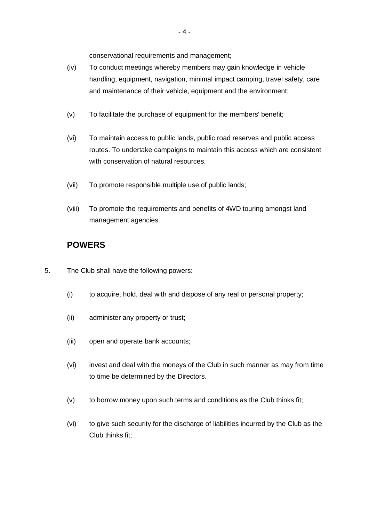conservational requirements and management;

- (iv) To conduct meetings whereby members may gain knowledge in vehicle handling, equipment, navigation, minimal impact camping, travel safety, care and maintenance of their vehicle, equipment and the environment;
- (v) To facilitate the purchase of equipment for the members' benefit;
- (vi) To maintain access to public lands, public road reserves and public access routes. To undertake campaigns to maintain this access which are consistent with conservation of natural resources.
- (vii) To promote responsible multiple use of public lands;
- (viii) To promote the requirements and benefits of 4WD touring amongst land management agencies.

#### **POWERS**

- 5. The Club shall have the following powers:
	- (i) to acquire, hold, deal with and dispose of any real or personal property;
	- (ii) administer any property or trust;
	- (iii) open and operate bank accounts;
	- (vi) invest and deal with the moneys of the Club in such manner as may from time to time be determined by the Directors.
	- (v) to borrow money upon such terms and conditions as the Club thinks fit;
	- (vi) to give such security for the discharge of liabilities incurred by the Club as the Club thinks fit;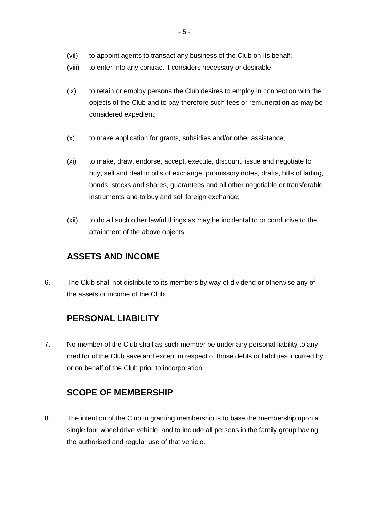- (vii) to appoint agents to transact any business of the Club on its behalf;
- (viii) to enter into any contract it considers necessary or desirable;
- (ix) to retain or employ persons the Club desires to employ in connection with the objects of the Club and to pay therefore such fees or remuneration as may be considered expedient;
- (x) to make application for grants, subsidies and/or other assistance;
- (xi) to make, draw, endorse, accept, execute, discount, issue and negotiate to buy, sell and deal in bills of exchange, promissory notes, drafts, bills of lading, bonds, stocks and shares, guarantees and all other negotiable or transferable instruments and to buy and sell foreign exchange;
- (xii) to do all such other lawful things as may be incidental to or conducive to the attainment of the above objects.

# **ASSETS AND INCOME**

6. The Club shall not distribute to its members by way of dividend or otherwise any of the assets or income of the Club.

# **PERSONAL LIABILITY**

7. No member of the Club shall as such member be under any personal liability to any creditor of the Club save and except in respect of those debts or liabilities incurred by or on behalf of the Club prior to incorporation.

#### **SCOPE OF MEMBERSHIP**

8. The intention of the Club in granting membership is to base the membership upon a single four wheel drive vehicle, and to include all persons in the family group having the authorised and regular use of that vehicle.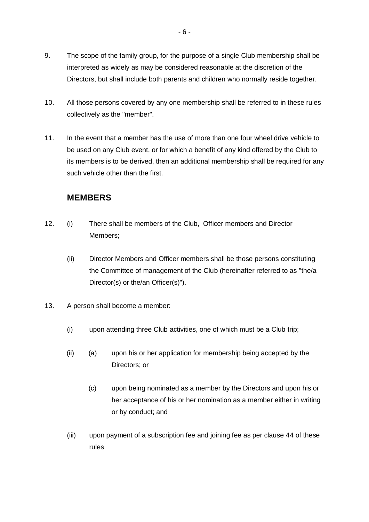- 9. The scope of the family group, for the purpose of a single Club membership shall be interpreted as widely as may be considered reasonable at the discretion of the Directors, but shall include both parents and children who normally reside together.
- 10. All those persons covered by any one membership shall be referred to in these rules collectively as the "member".
- 11. In the event that a member has the use of more than one four wheel drive vehicle to be used on any Club event, or for which a benefit of any kind offered by the Club to its members is to be derived, then an additional membership shall be required for any such vehicle other than the first.

#### **MEMBERS**

- 12. (i) There shall be members of the Club, Officer members and Director Members;
	- (ii) Director Members and Officer members shall be those persons constituting the Committee of management of the Club (hereinafter referred to as "the/a Director(s) or the/an Officer(s)").
- 13. A person shall become a member:
	- (i) upon attending three Club activities, one of which must be a Club trip;
	- (ii) (a) upon his or her application for membership being accepted by the Directors; or
		- (c) upon being nominated as a member by the Directors and upon his or her acceptance of his or her nomination as a member either in writing or by conduct; and
	- (iii) upon payment of a subscription fee and joining fee as per clause 44 of these rules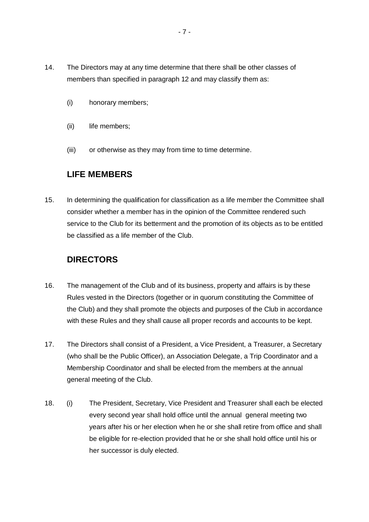- 14. The Directors may at any time determine that there shall be other classes of members than specified in paragraph 12 and may classify them as:
	- (i) honorary members;
	- (ii) life members;
	- (iii) or otherwise as they may from time to time determine.

# **LIFE MEMBERS**

15. In determining the qualification for classification as a life member the Committee shall consider whether a member has in the opinion of the Committee rendered such service to the Club for its betterment and the promotion of its objects as to be entitled be classified as a life member of the Club.

## **DIRECTORS**

- 16. The management of the Club and of its business, property and affairs is by these Rules vested in the Directors (together or in quorum constituting the Committee of the Club) and they shall promote the objects and purposes of the Club in accordance with these Rules and they shall cause all proper records and accounts to be kept.
- 17. The Directors shall consist of a President, a Vice President, a Treasurer, a Secretary (who shall be the Public Officer), an Association Delegate, a Trip Coordinator and a Membership Coordinator and shall be elected from the members at the annual general meeting of the Club.
- 18. (i) The President, Secretary, Vice President and Treasurer shall each be elected every second year shall hold office until the annual general meeting two years after his or her election when he or she shall retire from office and shall be eligible for re-election provided that he or she shall hold office until his or her successor is duly elected.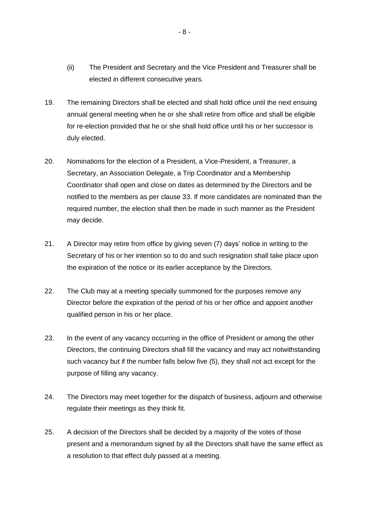- (ii) The President and Secretary and the Vice President and Treasurer shall be elected in different consecutive years.
- 19. The remaining Directors shall be elected and shall hold office until the next ensuing annual general meeting when he or she shall retire from office and shall be eligible for re-election provided that he or she shall hold office until his or her successor is duly elected.
- 20. Nominations for the election of a President, a Vice-President, a Treasurer, a Secretary, an Association Delegate, a Trip Coordinator and a Membership Coordinator shall open and close on dates as determined by the Directors and be notified to the members as per clause 33. If more candidates are nominated than the required number, the election shall then be made in such manner as the President may decide.
- 21. A Director may retire from office by giving seven (7) days' notice in writing to the Secretary of his or her intention so to do and such resignation shall take place upon the expiration of the notice or its earlier acceptance by the Directors.
- 22. The Club may at a meeting specially summoned for the purposes remove any Director before the expiration of the period of his or her office and appoint another qualified person in his or her place.
- 23. In the event of any vacancy occurring in the office of President or among the other Directors, the continuing Directors shall fill the vacancy and may act notwithstanding such vacancy but if the number falls below five (5), they shall not act except for the purpose of filling any vacancy.
- 24. The Directors may meet together for the dispatch of business, adjourn and otherwise regulate their meetings as they think fit.
- 25. A decision of the Directors shall be decided by a majority of the votes of those present and a memorandum signed by all the Directors shall have the same effect as a resolution to that effect duly passed at a meeting.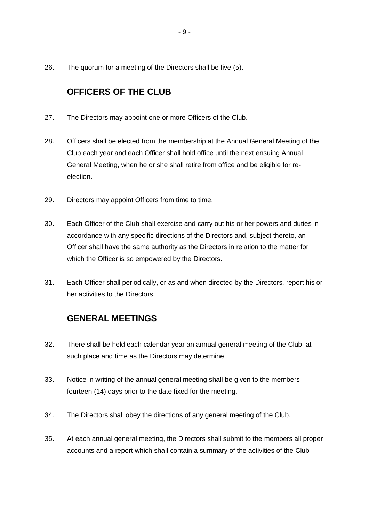26. The quorum for a meeting of the Directors shall be five (5).

# **OFFICERS OF THE CLUB**

- 27. The Directors may appoint one or more Officers of the Club.
- 28. Officers shall be elected from the membership at the Annual General Meeting of the Club each year and each Officer shall hold office until the next ensuing Annual General Meeting, when he or she shall retire from office and be eligible for reelection.
- 29. Directors may appoint Officers from time to time.
- 30. Each Officer of the Club shall exercise and carry out his or her powers and duties in accordance with any specific directions of the Directors and, subject thereto, an Officer shall have the same authority as the Directors in relation to the matter for which the Officer is so empowered by the Directors.
- 31. Each Officer shall periodically, or as and when directed by the Directors, report his or her activities to the Directors.

#### **GENERAL MEETINGS**

- 32. There shall be held each calendar year an annual general meeting of the Club, at such place and time as the Directors may determine.
- 33. Notice in writing of the annual general meeting shall be given to the members fourteen (14) days prior to the date fixed for the meeting.
- 34. The Directors shall obey the directions of any general meeting of the Club.
- 35. At each annual general meeting, the Directors shall submit to the members all proper accounts and a report which shall contain a summary of the activities of the Club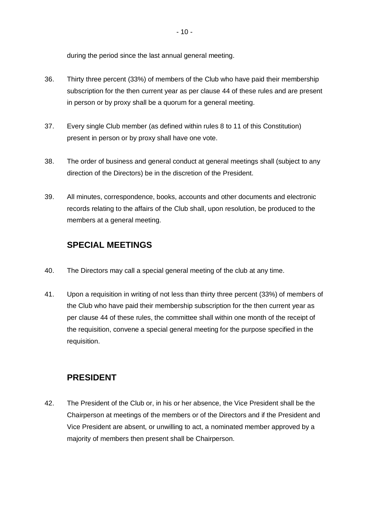during the period since the last annual general meeting.

- 36. Thirty three percent (33%) of members of the Club who have paid their membership subscription for the then current year as per clause 44 of these rules and are present in person or by proxy shall be a quorum for a general meeting.
- 37. Every single Club member (as defined within rules 8 to 11 of this Constitution) present in person or by proxy shall have one vote.
- 38. The order of business and general conduct at general meetings shall (subject to any direction of the Directors) be in the discretion of the President.
- 39. All minutes, correspondence, books, accounts and other documents and electronic records relating to the affairs of the Club shall, upon resolution, be produced to the members at a general meeting.

# **SPECIAL MEETINGS**

- 40. The Directors may call a special general meeting of the club at any time.
- 41. Upon a requisition in writing of not less than thirty three percent (33%) of members of the Club who have paid their membership subscription for the then current year as per clause 44 of these rules, the committee shall within one month of the receipt of the requisition, convene a special general meeting for the purpose specified in the requisition.

# **PRESIDENT**

42. The President of the Club or, in his or her absence, the Vice President shall be the Chairperson at meetings of the members or of the Directors and if the President and Vice President are absent, or unwilling to act, a nominated member approved by a majority of members then present shall be Chairperson.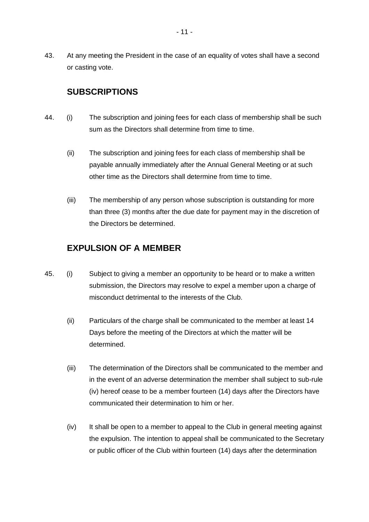43. At any meeting the President in the case of an equality of votes shall have a second or casting vote.

#### **SUBSCRIPTIONS**

- 44. (i) The subscription and joining fees for each class of membership shall be such sum as the Directors shall determine from time to time.
	- (ii) The subscription and joining fees for each class of membership shall be payable annually immediately after the Annual General Meeting or at such other time as the Directors shall determine from time to time.
	- (iii) The membership of any person whose subscription is outstanding for more than three (3) months after the due date for payment may in the discretion of the Directors be determined.

#### **EXPULSION OF A MEMBER**

- 45. (i) Subject to giving a member an opportunity to be heard or to make a written submission, the Directors may resolve to expel a member upon a charge of misconduct detrimental to the interests of the Club.
	- (ii) Particulars of the charge shall be communicated to the member at least 14 Days before the meeting of the Directors at which the matter will be determined.
	- (iii) The determination of the Directors shall be communicated to the member and in the event of an adverse determination the member shall subject to sub-rule (iv) hereof cease to be a member fourteen (14) days after the Directors have communicated their determination to him or her.
	- (iv) It shall be open to a member to appeal to the Club in general meeting against the expulsion. The intention to appeal shall be communicated to the Secretary or public officer of the Club within fourteen (14) days after the determination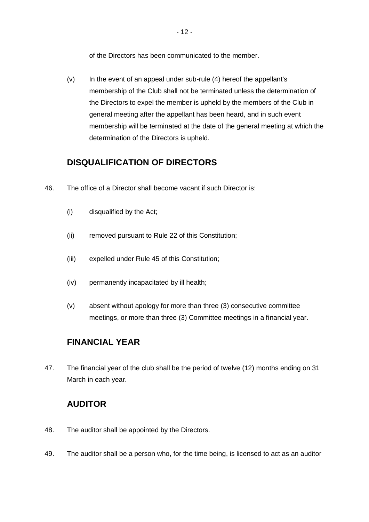of the Directors has been communicated to the member.

 $(v)$  In the event of an appeal under sub-rule  $(4)$  hereof the appellant's membership of the Club shall not be terminated unless the determination of the Directors to expel the member is upheld by the members of the Club in general meeting after the appellant has been heard, and in such event membership will be terminated at the date of the general meeting at which the determination of the Directors is upheld.

## **DISQUALIFICATION OF DIRECTORS**

- 46. The office of a Director shall become vacant if such Director is:
	- (i) disqualified by the Act;
	- (ii) removed pursuant to Rule 22 of this Constitution;
	- (iii) expelled under Rule 45 of this Constitution;
	- (iv) permanently incapacitated by ill health;
	- (v) absent without apology for more than three (3) consecutive committee meetings, or more than three (3) Committee meetings in a financial year.

# **FINANCIAL YEAR**

47. The financial year of the club shall be the period of twelve (12) months ending on 31 March in each year.

# **AUDITOR**

- 48. The auditor shall be appointed by the Directors.
- 49. The auditor shall be a person who, for the time being, is licensed to act as an auditor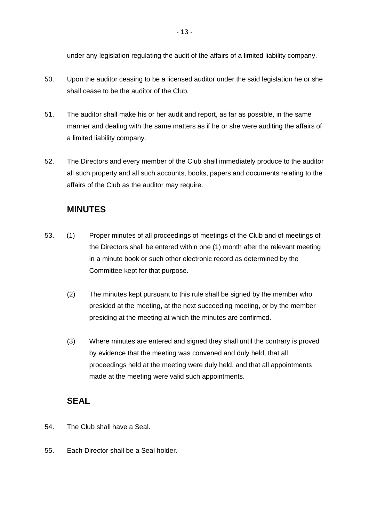under any legislation regulating the audit of the affairs of a limited liability company.

- 50. Upon the auditor ceasing to be a licensed auditor under the said legislation he or she shall cease to be the auditor of the Club.
- 51. The auditor shall make his or her audit and report, as far as possible, in the same manner and dealing with the same matters as if he or she were auditing the affairs of a limited liability company.
- 52. The Directors and every member of the Club shall immediately produce to the auditor all such property and all such accounts, books, papers and documents relating to the affairs of the Club as the auditor may require.

## **MINUTES**

- 53. (1) Proper minutes of all proceedings of meetings of the Club and of meetings of the Directors shall be entered within one (1) month after the relevant meeting in a minute book or such other electronic record as determined by the Committee kept for that purpose.
	- (2) The minutes kept pursuant to this rule shall be signed by the member who presided at the meeting, at the next succeeding meeting, or by the member presiding at the meeting at which the minutes are confirmed.
	- (3) Where minutes are entered and signed they shall until the contrary is proved by evidence that the meeting was convened and duly held, that all proceedings held at the meeting were duly held, and that all appointments made at the meeting were valid such appointments.

#### **SEAL**

- 54. The Club shall have a Seal.
- 55. Each Director shall be a Seal holder.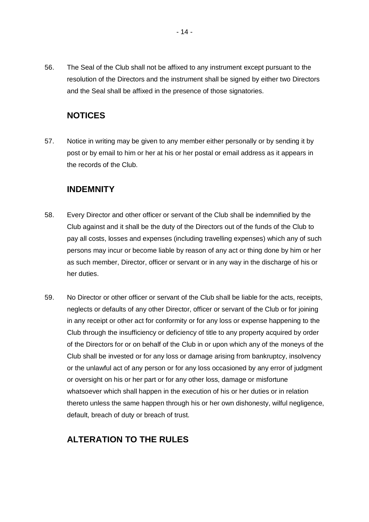56. The Seal of the Club shall not be affixed to any instrument except pursuant to the resolution of the Directors and the instrument shall be signed by either two Directors and the Seal shall be affixed in the presence of those signatories.

#### **NOTICES**

57. Notice in writing may be given to any member either personally or by sending it by post or by email to him or her at his or her postal or email address as it appears in the records of the Club.

#### **INDEMNITY**

- 58. Every Director and other officer or servant of the Club shall be indemnified by the Club against and it shall be the duty of the Directors out of the funds of the Club to pay all costs, losses and expenses (including travelling expenses) which any of such persons may incur or become liable by reason of any act or thing done by him or her as such member, Director, officer or servant or in any way in the discharge of his or her duties.
- 59. No Director or other officer or servant of the Club shall be liable for the acts, receipts, neglects or defaults of any other Director, officer or servant of the Club or for joining in any receipt or other act for conformity or for any loss or expense happening to the Club through the insufficiency or deficiency of title to any property acquired by order of the Directors for or on behalf of the Club in or upon which any of the moneys of the Club shall be invested or for any loss or damage arising from bankruptcy, insolvency or the unlawful act of any person or for any loss occasioned by any error of judgment or oversight on his or her part or for any other loss, damage or misfortune whatsoever which shall happen in the execution of his or her duties or in relation thereto unless the same happen through his or her own dishonesty, wilful negligence, default, breach of duty or breach of trust.

# **ALTERATION TO THE RULES**